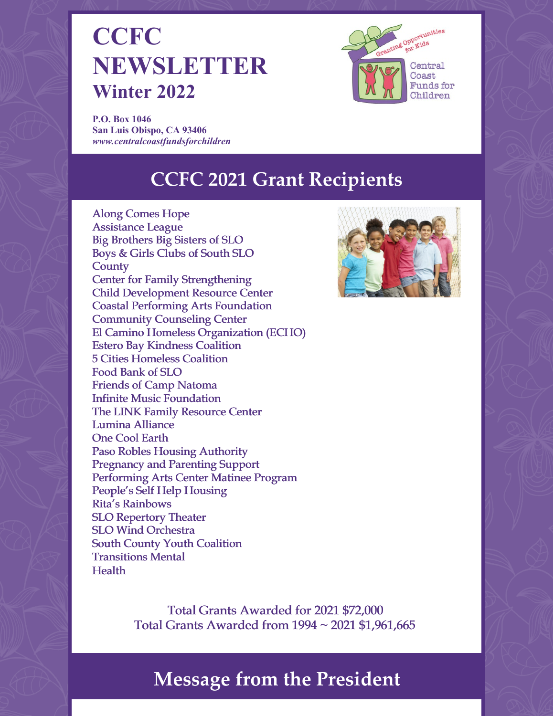# **CCFC NEWSLETTER Winter 2022**



**P.O. Box 1046 San Luis Obispo, CA 93406** *[www.centralcoastfundsforchildren](http://www.centralcoastfundsforchildren)*

## **CCFC 2021 Grant Recipients**





Total Grants Awarded for 2021 \$72,000 Total Grants Awarded from 1994 ~ 2021 \$1,961,665

## **Message from the President**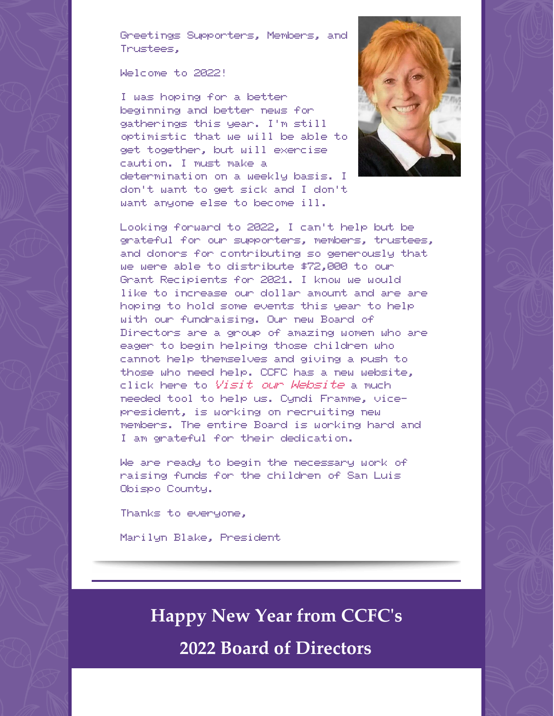Greetings Supporters, Members, and Trustees,

Welcome to 2022!

I was hoping for a better beginning and better news for gatherings this year. I'm still optimistic that we will be able to get together, but will exercise caution. I must make a determination on a weekly basis. I don't want to get sick and I don't want anyone else to become ill.



Looking forward to 2022, I can't help but be grateful for our supporters, members, trustees, and donors for contributing so generously that we were able to distribute \$72,000 to our Grant Recipients for 2021. I know we would like to increase our dollar amount and are are hoping to hold some events this year to help with our fundraising. Our new Board of Directors are a group of amazing women who are eager to begin helping those children who cannot help themselves and giving a push to those who need help. CCFC has a new website, click here to Visit our [Website](http://centralcoastfundsforchildren.org) a much needed tool to help us. Cyndi Framme, vicepresident, is working on recruiting new members. The entire Board is working hard and I am grateful for their dedication.

We are ready to begin the necessary work of raising funds for the children of San Luis Obispo County.

Thanks to everyone,

Marilyn Blake, President

**Happy New Year from CCFC's**

**2022 Board of Directors**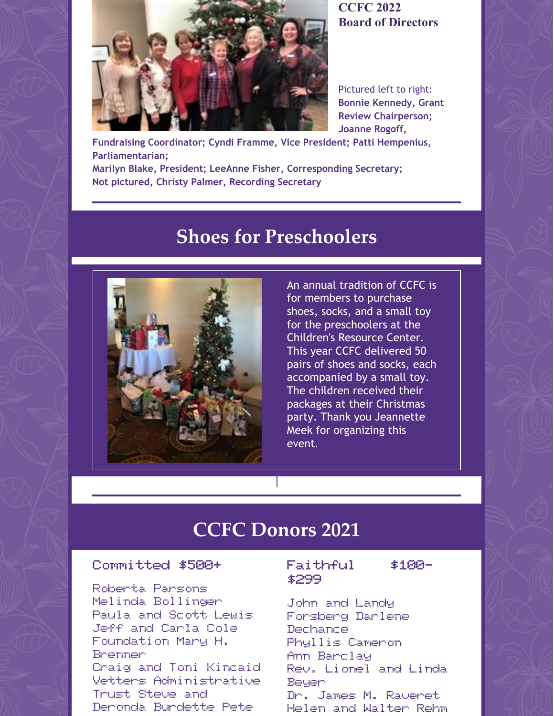

**CCFC 2022 Board of Directors**

Pictured left to right: **Bonnie Kennedy, Grant Review Chairperson; Joanne Rogoff,**

**Fundraising Coordinator; Cyndi Framme, Vice President; Patti Hempenius, Parliamentarian; Marilyn Blake, President; LeeAnne Fisher, Corresponding Secretary;**

**Not pictured, Christy Palmer, Recording Secretary**

## **Shoes for Preschoolers**



An annual tradition of CCFC is for members to purchase shoes, socks, and a small toy for the preschoolers at the Children's Resource Center. This year CCFC delivered 50 pairs of shoes and socks, each accompanied by a small toy. The children received their packages at their Christmas party. Thank you Jeannette Meek for organizing this event.

### **CCFC Donors 2021**

#### Committed \$500+

Roberta Parsons Melinda Bollinger Paula and Scott Lewis Jeff and Carla Cole Foundation Mary H. Brenner Craig and Toni Kincaid Vetters Administrative Trust Steve and Deronda Burdette Pete

#### Faithful \$100-\$299

John and Landy Forsberg Darlene Dechance Phyllis Cameron Ann Barclay Rev. Lionel and Linda **Beyer** Dr. James M. Raveret Helen and Walter Rehm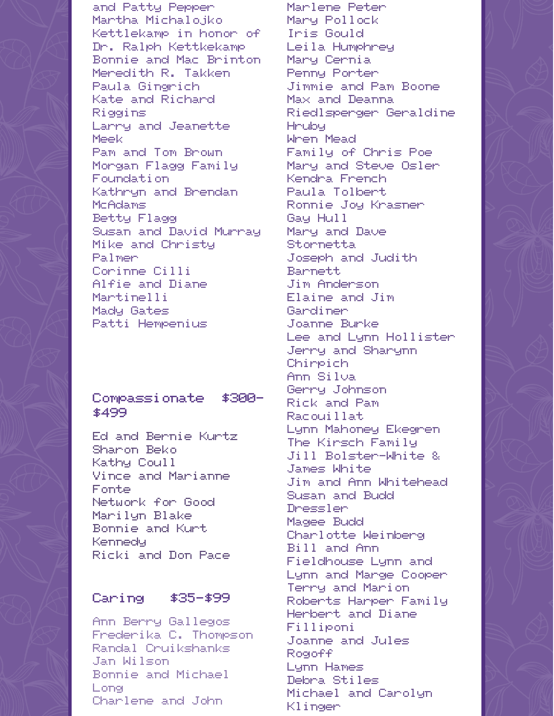and Patty Pepper Martha Michalojko Kettlekamp in honor of Dr. Ralph Kettkekamp Bonnie and Mac Brinton Meredith R. Takken Paula Gingrich Kate and Richard Riggins Larry and Jeanette Meek Pam and Tom Brown Morgan Flagg Family Foundation Kathryn and Brendan McAdams Betty Flagg Susan and David Murray Mike and Christy Palmer Corinne Cilli Alfie and Diane Martinelli Mady Gates Patti Hempenius

#### Compassionate \$300-\$499

Ed and Bernie Kurtz Sharon Beko Kathy Coull Vince and Marianne Fonte Network for Good Marilyn Blake Bonnie and Kurt Kennedy Ricki and Don Pace

#### Caring \$35-\$99

Ann Berry Gallegos Frederika C. Thompson Randal Cruikshanks Jan Wilson Bonnie and Michael Long Charlene and John

Marlene Peter Mary Pollock Iris Gould Leila Humphrey Mary Cernia Penny Porter Jimmie and Pam Boone Max and Deanna Riedlsperger Geraldine Hruby Wren Mead Family of Chris Poe Mary and Steve Osler Kendra French Paula Tolbert Ronnie Joy Krasner Gay Hull Mary and Dave Stornetta Joseph and Judith Barnett Jim Anderson Elaine and Jim Gardiner Joanne Burke Lee and Lynn Hollister Jerry and Sharynn Chirpich Ann Silva Gerry Johnson Rick and Pam Racouillat Lynn Mahoney Ekegren The Kirsch Family Jill Bolster-White & James White Jim and Ann Whitehead Susan and Budd Dressler Magee Budd Charlotte Weinberg Bill and Ann Fieldhouse Lynn and Lynn and Marge Cooper Terry and Marion Roberts Harper Family Herbert and Diane Filliponi Joanne and Jules Rogoff Lynn Hames Debra Stiles Michael and Carolyn Klinger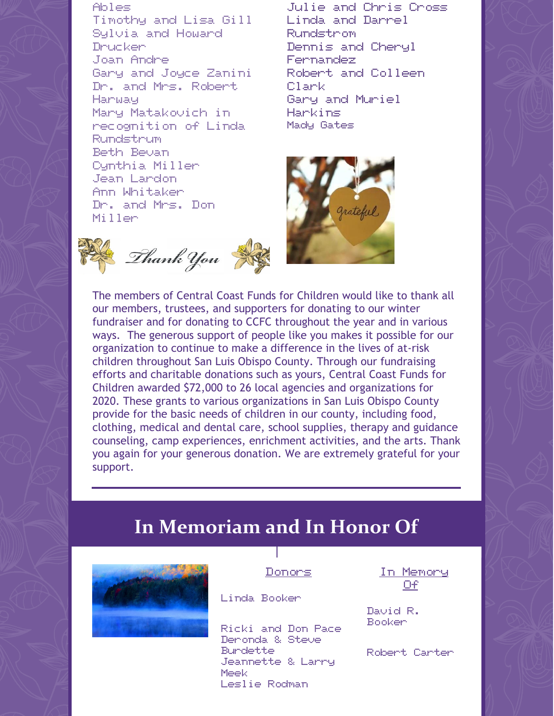Ables Timothy and Lisa Gill Sylvia and Howard Drucker Joan Andre Gary and Joyce Zanini Dr. and Mrs. Robert Harway Mary Matakovich in recognition of Linda Rundstrum Beth Bevan Cynthia Miller Jean Lardon Ann Whitaker Dr. and Mrs. Don Miller

Thank You

Julie and Chris Cross Linda and Darrel Rundstrom Dennis and Cheryl Fernandez Robert and Colleen Clark Gary and Muriel Harkins Mady Gates



The members of Central Coast Funds for Children would like to thank all our members, trustees, and supporters for donating to our winter fundraiser and for donating to CCFC throughout the year and in various ways. The generous support of people like you makes it possible for our organization to continue to make a difference in the lives of at-risk children throughout San Luis Obispo County. Through our fundraising efforts and charitable donations such as yours, Central Coast Funds for Children awarded \$72,000 to 26 local agencies and organizations for 2020. These grants to various organizations in San Luis Obispo County provide for the basic needs of children in our county, including food, clothing, medical and dental care, school supplies, therapy and guidance counseling, camp experiences, enrichment activities, and the arts. Thank you again for your generous donation. We are extremely grateful for your support.

## **In Memoriam and In Honor Of**



Donors

Linda Booker

Ricki and Don Pace Deronda & Steve Burdette Jeannette & Larry Meek Leslie Rodman

In Memory  $\Box$ f

David R. Booker

Robert Carter